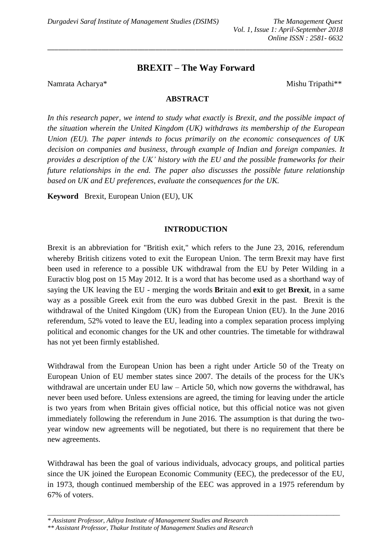# **BREXIT – The Way Forward**

\_\_\_\_\_\_\_\_\_\_\_\_\_\_\_\_\_\_\_\_\_\_\_\_\_\_\_\_\_\_\_\_\_\_\_\_\_\_\_\_\_\_\_\_\_\_\_\_\_\_\_\_\_\_\_\_\_\_\_\_\_\_\_\_\_\_\_\_\_\_\_\_\_\_\_\_\_\_\_\_\_\_

Namrata Acharya\* Mishu Tripathi\*\*

### **ABSTRACT**

*In this research paper, we intend to study what exactly is Brexit, and the possible impact of the situation wherein the United Kingdom (UK) withdraws its membership of the European Union (EU). The paper intends to focus primarily on the economic consequences of UK decision on companies and business, through example of Indian and foreign companies. It provides a description of the UK' history with the EU and the possible frameworks for their future relationships in the end. The paper also discusses the possible future relationship based on UK and EU preferences, evaluate the consequences for the UK.*

**Keyword** Brexit, European Union (EU), UK

# **INTRODUCTION**

Brexit is an abbreviation for "British exit," which refers to the June 23, 2016, referendum whereby British citizens voted to exit the European Union. The term Brexit may have first been used in reference to a possible UK withdrawal from the EU by Peter Wilding in a Euractiv blog post on 15 May 2012. It is a word that has become used as a shorthand way of saying the UK leaving the EU - merging the words **Br**itain and **exit** to get **Brexit**, in a same way as a possible Greek exit from the euro was dubbed Grexit in the past. Brexit is the withdrawal of the United Kingdom (UK) from the European Union (EU). In the June 2016 referendum, 52% voted to leave the EU, leading into a complex separation process implying political and economic changes for the UK and other countries. The timetable for withdrawal has not yet been firmly established.

Withdrawal from the European Union has been a right under Article 50 of the Treaty on European Union of EU member states since 2007. The details of the process for the UK's withdrawal are uncertain under EU law – Article 50, which now governs the withdrawal, has never been used before. Unless extensions are agreed, the timing for leaving under the article is two years from when Britain gives official notice, but this official notice was not given immediately following the referendum in June 2016. The assumption is that during the twoyear window new agreements will be negotiated, but there is no requirement that there be new agreements.

Withdrawal has been the goal of various individuals, advocacy groups, and political parties since the UK joined the European Economic Community (EEC), the predecessor of the EU, in 1973, though continued membership of the EEC was approved in a 1975 referendum by 67% of voters.

*\_\_\_\_\_\_\_\_\_\_\_\_\_\_\_\_\_\_\_\_\_\_\_\_\_\_\_\_\_\_\_\_\_\_\_\_\_\_\_\_\_\_\_\_\_\_\_\_\_\_\_\_\_\_\_\_\_\_\_\_\_\_\_\_\_\_\_\_\_\_\_\_\_\_\_\_\_\_\_\_\_\_\_\_\_\_\_\_\_*

*<sup>\*</sup> Assistant Professor, Aditya Institute of Management Studies and Research* 

*<sup>\*\*</sup> Assistant Professor, Thakur Institute of Management Studies and Research*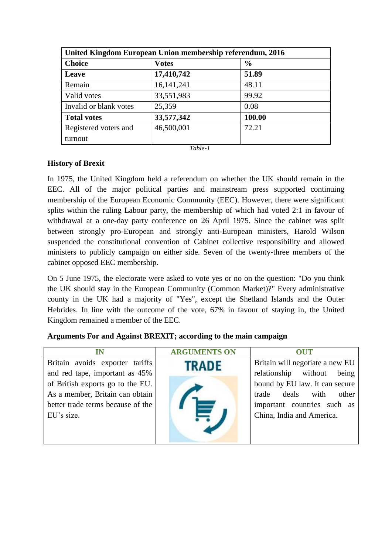| United Kingdom European Union membership referendum, 2016 |              |               |  |  |
|-----------------------------------------------------------|--------------|---------------|--|--|
| <b>Choice</b>                                             | <b>Votes</b> | $\frac{6}{6}$ |  |  |
| Leave                                                     | 17,410,742   | 51.89         |  |  |
| Remain                                                    | 16, 141, 241 | 48.11         |  |  |
| Valid votes                                               | 33,551,983   | 99.92         |  |  |
| Invalid or blank votes                                    | 25,359       | 0.08          |  |  |
| <b>Total votes</b>                                        | 33,577,342   | 100.00        |  |  |
| Registered voters and                                     | 46,500,001   | 72.21         |  |  |
| turnout                                                   |              |               |  |  |

#### *Table-1*

# **History of Brexit**

In 1975, the United Kingdom held a referendum on whether the UK should remain in the EEC. All of the major political parties and mainstream press supported continuing membership of the European Economic Community (EEC). However, there were significant splits within the ruling Labour party, the membership of which had voted 2:1 in favour of withdrawal at a one-day party conference on 26 April 1975. Since the cabinet was split between strongly pro-European and strongly anti-European ministers, Harold Wilson suspended the constitutional convention of Cabinet collective responsibility and allowed ministers to publicly campaign on either side. Seven of the twenty-three members of the cabinet opposed EEC membership.

On 5 June 1975, the electorate were asked to vote yes or no on the question: "Do you think the UK should stay in the European Community (Common Market)?" Every administrative county in the UK had a majority of "Yes", except the Shetland Islands and the Outer Hebrides. In line with the outcome of the vote, 67% in favour of staying in, the United Kingdom remained a member of the EEC.

| IN                                | <b>ARGUMENTS ON</b> | <b>OUT</b>                      |
|-----------------------------------|---------------------|---------------------------------|
| Britain avoids exporter tariffs   | <b>TRADE</b>        | Britain will negotiate a new EU |
| and red tape, important as 45%    |                     | relationship without<br>being   |
| of British exports go to the EU.  |                     | bound by EU law. It can secure  |
| As a member, Britain can obtain   |                     | trade deals with<br>other       |
| better trade terms because of the |                     | important countries such as     |
| EU's size.                        |                     | China, India and America.       |
|                                   |                     |                                 |
|                                   |                     |                                 |

### **Arguments For and Against BREXIT; according to the main campaign**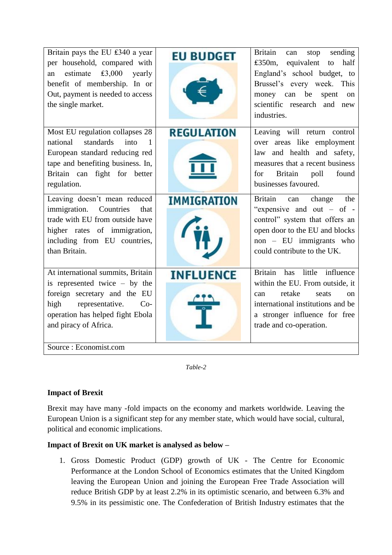| Britain pays the EU $£340$ a year<br>per household, compared with<br>£3,000<br>estimate<br>yearly<br>an<br>benefit of membership. In or<br>Out, payment is needed to access<br>the single market.                              | <b>EU BUDGET</b>   | Britain<br>sending<br>can<br>stop<br>£350m,<br>equivalent<br>half<br>to<br>England's school budget, to<br>Brussel's every week. This<br>money can be<br>spent<br><sub>on</sub><br>scientific research and new<br>industries. |
|--------------------------------------------------------------------------------------------------------------------------------------------------------------------------------------------------------------------------------|--------------------|------------------------------------------------------------------------------------------------------------------------------------------------------------------------------------------------------------------------------|
| Most EU regulation collapses 28<br>national<br>standards<br>into<br>-1<br>European standard reducing red<br>tape and benefiting business. In,<br>Britain can fight for better<br>regulation.                                   | <b>REGULATION</b>  | Leaving will return control<br>over areas like employment<br>law and health and safety,<br>measures that a recent business<br>Britain<br>poll<br>found<br>for<br>businesses favoured.                                        |
| Leaving doesn't mean reduced<br>Countries<br><i>immigration.</i><br>that<br>trade with EU from outside have<br>higher rates of immigration,<br>including from EU countries,<br>than Britain.                                   | <b>IMMIGRATION</b> | Britain<br>can change<br>the<br>"expensive and out $-$ of $-$<br>control" system that offers an<br>open door to the EU and blocks<br>non - EU immigrants who<br>could contribute to the UK.                                  |
| At international summits, Britain<br>is represented twice $-$ by the<br>foreign secretary and the EU<br>representative.<br>high<br>$Co-$<br>operation has helped fight Ebola<br>and piracy of Africa.<br>Source: Economist.com | <b>INFLUENCE</b>   | Britain has little influence<br>within the EU. From outside, it<br>retake<br>seats<br>can<br>$\alpha$<br>international institutions and be<br>a stronger influence for free<br>trade and co-operation.                       |

*Table-2*

# **Impact of Brexit**

Brexit may have many -fold impacts on the economy and markets worldwide. Leaving the European Union is a significant step for any member state, which would have social, cultural, political and economic implications.

# **Impact of Brexit on UK market is analysed as below –**

1. Gross Domestic Product (GDP) growth of UK - The Centre for Economic Performance at the London School of Economics estimates that the United Kingdom leaving the European Union and joining the European Free Trade Association will reduce British GDP by at least 2.2% in its optimistic scenario, and between 6.3% and 9.5% in its pessimistic one. The Confederation of British Industry estimates that the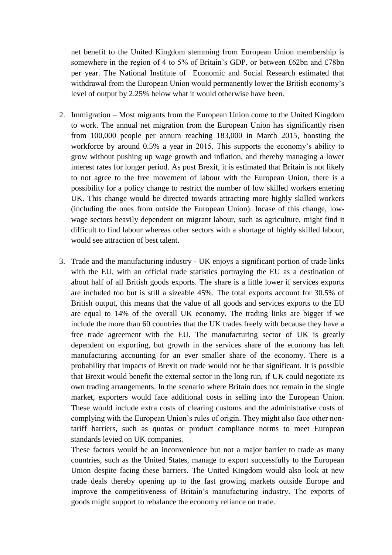net benefit to the United Kingdom stemming from European Union membership is somewhere in the region of 4 to 5% of Britain's GDP, or between £62bn and £78bn per year. The National Institute of Economic and Social Research estimated that withdrawal from the European Union would permanently lower the British economy's level of output by 2.25% below what it would otherwise have been.

- 2. Immigration Most migrants from the European Union come to the United Kingdom to work. The annual net migration from the European Union has significantly risen from 100,000 people per annum reaching 183,000 in March 2015, boosting the workforce by around 0.5% a year in 2015. This supports the economy's ability to grow without pushing up wage growth and inflation, and thereby managing a lower interest rates for longer period. As post Brexit, it is estimated that Britain is not likely to not agree to the free movement of labour with the European Union, there is a possibility for a policy change to restrict the number of low skilled workers entering UK. This change would be directed towards attracting more highly skilled workers (including the ones from outside the European Union). Incase of this change, lowwage sectors heavily dependent on migrant labour, such as agriculture, might find it difficult to find labour whereas other sectors with a shortage of highly skilled labour, would see attraction of best talent.
- 3. Trade and the manufacturing industry UK enjoys a significant portion of trade links with the EU, with an official trade statistics portraying the EU as a destination of about half of all British goods exports. The share is a little lower if services exports are included too but is still a sizeable 45%. The total exports account for 30.5% of British output, this means that the value of all goods and services exports to the EU are equal to 14% of the overall UK economy. The trading links are bigger if we include the more than 60 countries that the UK trades freely with because they have a free trade agreement with the EU. The manufacturing sector of UK is greatly dependent on exporting, but growth in the services share of the economy has left manufacturing accounting for an ever smaller share of the economy. There is a probability that impacts of Brexit on trade would not be that significant. It is possible that Brexit would benefit the external sector in the long run, if UK could negotiate its own trading arrangements. In the scenario where Britain does not remain in the single market, exporters would face additional costs in selling into the European Union. These would include extra costs of clearing customs and the administrative costs of complying with the European Union's rules of origin. They might also face other nontariff barriers, such as quotas or product compliance norms to meet European standards levied on UK companies.

These factors would be an inconvenience but not a major barrier to trade as many countries, such as the United States, manage to export successfully to the European Union despite facing these barriers. The United Kingdom would also look at new trade deals thereby opening up to the fast growing markets outside Europe and improve the competitiveness of Britain's manufacturing industry. The exports of goods might support to rebalance the economy reliance on trade.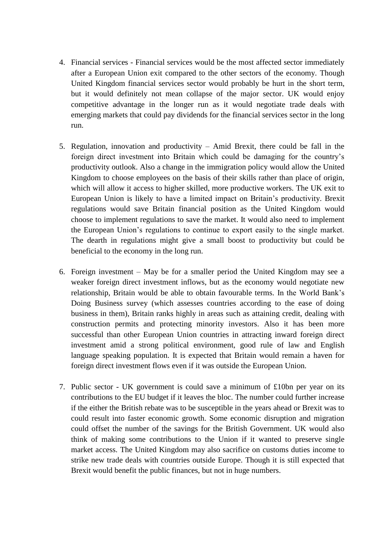- 4. Financial services Financial services would be the most affected sector immediately after a European Union exit compared to the other sectors of the economy. Though United Kingdom financial services sector would probably be hurt in the short term, but it would definitely not mean collapse of the major sector. UK would enjoy competitive advantage in the longer run as it would negotiate trade deals with emerging markets that could pay dividends for the financial services sector in the long run.
- 5. Regulation, innovation and productivity Amid Brexit, there could be fall in the foreign direct investment into Britain which could be damaging for the country's productivity outlook. Also a change in the immigration policy would allow the United Kingdom to choose employees on the basis of their skills rather than place of origin, which will allow it access to higher skilled, more productive workers. The UK exit to European Union is likely to have a limited impact on Britain's productivity. Brexit regulations would save Britain financial position as the United Kingdom would choose to implement regulations to save the market. It would also need to implement the European Union's regulations to continue to export easily to the single market. The dearth in regulations might give a small boost to productivity but could be beneficial to the economy in the long run.
- 6. Foreign investment May be for a smaller period the United Kingdom may see a weaker foreign direct investment inflows, but as the economy would negotiate new relationship, Britain would be able to obtain favourable terms. In the World Bank's Doing Business survey (which assesses countries according to the ease of doing business in them), Britain ranks highly in areas such as attaining credit, dealing with construction permits and protecting minority investors. Also it has been more successful than other European Union countries in attracting inward foreign direct investment amid a strong political environment, good rule of law and English language speaking population. It is expected that Britain would remain a haven for foreign direct investment flows even if it was outside the European Union.
- 7. Public sector UK government is could save a minimum of £10bn per year on its contributions to the EU budget if it leaves the bloc. The number could further increase if the either the British rebate was to be susceptible in the years ahead or Brexit was to could result into faster economic growth. Some economic disruption and migration could offset the number of the savings for the British Government. UK would also think of making some contributions to the Union if it wanted to preserve single market access. The United Kingdom may also sacrifice on customs duties income to strike new trade deals with countries outside Europe. Though it is still expected that Brexit would benefit the public finances, but not in huge numbers.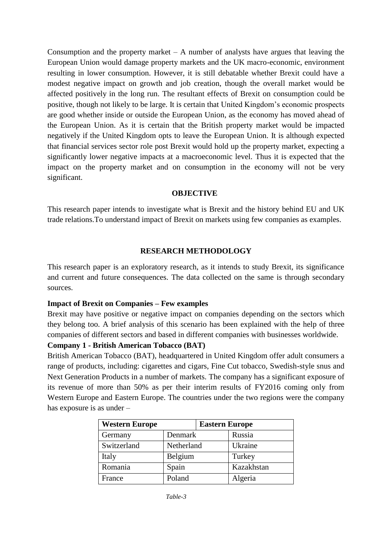Consumption and the property market  $- A$  number of analysts have argues that leaving the European Union would damage property markets and the UK macro-economic, environment resulting in lower consumption. However, it is still debatable whether Brexit could have a modest negative impact on growth and job creation, though the overall market would be affected positively in the long run. The resultant effects of Brexit on consumption could be positive, though not likely to be large. It is certain that United Kingdom's economic prospects are good whether inside or outside the European Union, as the economy has moved ahead of the European Union. As it is certain that the British property market would be impacted negatively if the United Kingdom opts to leave the European Union. It is although expected that financial services sector role post Brexit would hold up the property market, expecting a significantly lower negative impacts at a macroeconomic level. Thus it is expected that the impact on the property market and on consumption in the economy will not be very significant.

#### **OBJECTIVE**

This research paper intends to investigate what is Brexit and the history behind EU and UK trade relations.To understand impact of Brexit on markets using few companies as examples.

# **RESEARCH METHODOLOGY**

This research paper is an exploratory research, as it intends to study Brexit, its significance and current and future consequences. The data collected on the same is through secondary sources.

### **Impact of Brexit on Companies – Few examples**

Brexit may have positive or negative impact on companies depending on the sectors which they belong too. A brief analysis of this scenario has been explained with the help of three companies of different sectors and based in different companies with businesses worldwide.

#### **Company 1 - British American Tobacco (BAT)**

British American Tobacco (BAT), headquartered in United Kingdom offer adult consumers a range of products, including: cigarettes and cigars, Fine Cut tobacco, Swedish-style snus and Next Generation Products in a number of markets. The company has a significant exposure of its revenue of more than 50% as per their interim results of FY2016 coming only from Western Europe and Eastern Europe. The countries under the two regions were the company has exposure is as under –

| <b>Western Europe</b> | <b>Eastern Europe</b> |            |
|-----------------------|-----------------------|------------|
| Germany               | Denmark               | Russia     |
| Switzerland           | Netherland            | Ukraine    |
| Italy                 | Belgium               | Turkey     |
| Romania               | Spain                 | Kazakhstan |
| France                | Poland                | Algeria    |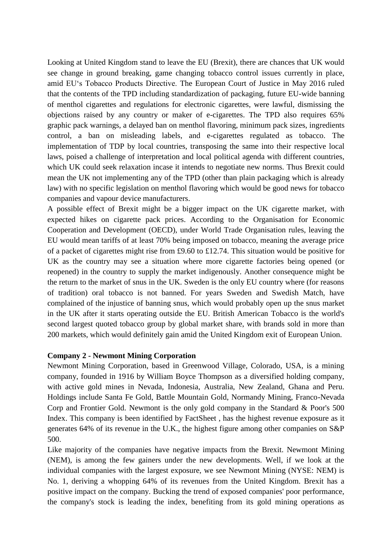Looking at United Kingdom stand to leave the EU (Brexit), there are chances that UK would see change in ground breaking, game changing tobacco control issues currently in place, amid EU's Tobacco Products Directive. The European Court of Justice in May 2016 ruled that the contents of the TPD including standardization of packaging, future EU-wide banning of menthol cigarettes and regulations for electronic cigarettes, were lawful, dismissing the objections raised by any country or maker of e-cigarettes. The TPD also requires 65% graphic pack warnings, a delayed ban on menthol flavoring, minimum pack sizes, ingredients control, a ban on misleading labels, and e-cigarettes regulated as tobacco. The implementation of TDP by local countries, transposing the same into their respective local laws, poised a challenge of interpretation and local political agenda with different countries, which UK could seek relaxation incase it intends to negotiate new norms. Thus Brexit could mean the UK not implementing any of the TPD (other than plain packaging which is already law) with no specific legislation on menthol flavoring which would be good news for tobacco companies and vapour device manufacturers.

A possible effect of Brexit might be a bigger impact on the UK cigarette market, with expected hikes on cigarette pack prices. According to the Organisation for Economic Cooperation and Development (OECD), under World Trade Organisation rules, leaving the EU would mean tariffs of at least 70% being imposed on tobacco, meaning the average price of a packet of cigarettes might rise from £9.60 to £12.74. This situation would be positive for UK as the country may see a situation where more cigarette factories being opened (or reopened) in the country to supply the market indigenously. Another consequence might be the return to the market of snus in the UK. Sweden is the only EU country where (for reasons of tradition) oral tobacco is not banned. For years Sweden and Swedish Match, have complained of the injustice of banning snus, which would probably open up the snus market in the UK after it starts operating outside the EU. British American Tobacco is the world's second largest quoted tobacco group by global market share, with brands sold in more than 200 markets, which would definitely gain amid the United Kingdom exit of European Union.

#### **Company 2 - Newmont Mining Corporation**

Newmont Mining Corporation, based in Greenwood Village, Colorado, USA, is a mining company, founded in 1916 by William Boyce Thompson as a diversified holding company, with active gold mines in Nevada, Indonesia, Australia, New Zealand, Ghana and Peru. Holdings include Santa Fe Gold, Battle Mountain Gold, Normandy Mining, Franco-Nevada Corp and Frontier Gold. Newmont is the only gold company in the Standard & Poor's 500 Index. This company is been identified by FactSheet , has the highest revenue exposure as it generates 64% of its revenue in the U.K., the highest figure among other companies on S&P 500.

Like majority of the companies have negative impacts from the Brexit. Newmont Mining (NEM), is among the few gainers under the new developments. Well, if we look at the individual companies with the largest exposure, we see Newmont Mining (NYSE: NEM) is No. 1, deriving a whopping 64% of its revenues from the United Kingdom. Brexit has a positive impact on the company. Bucking the trend of exposed companies' poor performance, the company's stock is leading the index, benefiting from its gold mining operations as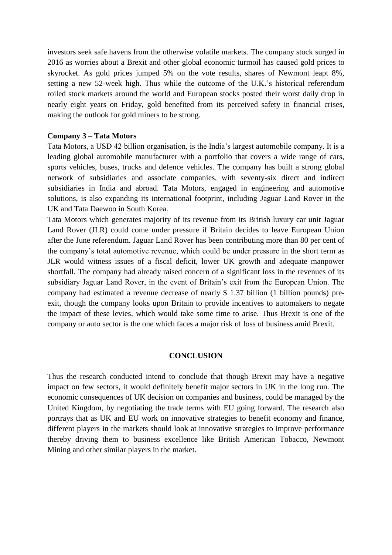investors seek safe havens from the otherwise volatile markets. The company stock surged in 2016 as worries about a Brexit and other global economic turmoil has caused gold prices to skyrocket. As gold prices jumped 5% on the vote results, shares of Newmont leapt 8%, setting a new 52-week high. Thus while the outcome of the U.K.'s historical referendum roiled stock markets around the world and European stocks posted their worst daily drop in nearly eight years on Friday, gold benefited from its perceived safety in financial crises, making the outlook for gold miners to be strong.

#### **Company 3 – Tata Motors**

Tata Motors, a USD 42 billion organisation, is the India's largest automobile company. It is a leading global automobile manufacturer with a portfolio that covers a wide range of cars, sports vehicles, buses, trucks and defence vehicles. The company has built a strong global network of subsidiaries and associate companies, with seventy-six direct and indirect subsidiaries in India and abroad. Tata Motors, engaged in engineering and automotive solutions, is also expanding its international footprint, including Jaguar Land Rover in the UK and Tata Daewoo in South Korea.

Tata Motors which generates majority of its revenue from its British luxury car unit Jaguar Land Rover (JLR) could come under pressure if Britain decides to leave European Union after the June referendum. Jaguar Land Rover has been contributing more than 80 per cent of the company's total automotive revenue, which could be under pressure in the short term as JLR would witness issues of a fiscal deficit, lower UK growth and adequate manpower shortfall. The company had already raised concern of a significant loss in the revenues of its subsidiary Jaguar Land Rover, in the event of Britain's exit from the European Union. The company had estimated a revenue decrease of nearly \$ 1.37 billion (1 billion pounds) preexit, though the company looks upon Britain to provide incentives to automakers to negate the impact of these levies, which would take some time to arise. Thus Brexit is one of the company or auto sector is the one which faces a major risk of loss of business amid Brexit.

#### **CONCLUSION**

Thus the research conducted intend to conclude that though Brexit may have a negative impact on few sectors, it would definitely benefit major sectors in UK in the long run. The economic consequences of UK decision on companies and business, could be managed by the United Kingdom, by negotiating the trade terms with EU going forward. The research also portrays that as UK and EU work on innovative strategies to benefit economy and finance, different players in the markets should look at innovative strategies to improve performance thereby driving them to business excellence like British American Tobacco, Newmont Mining and other similar players in the market.